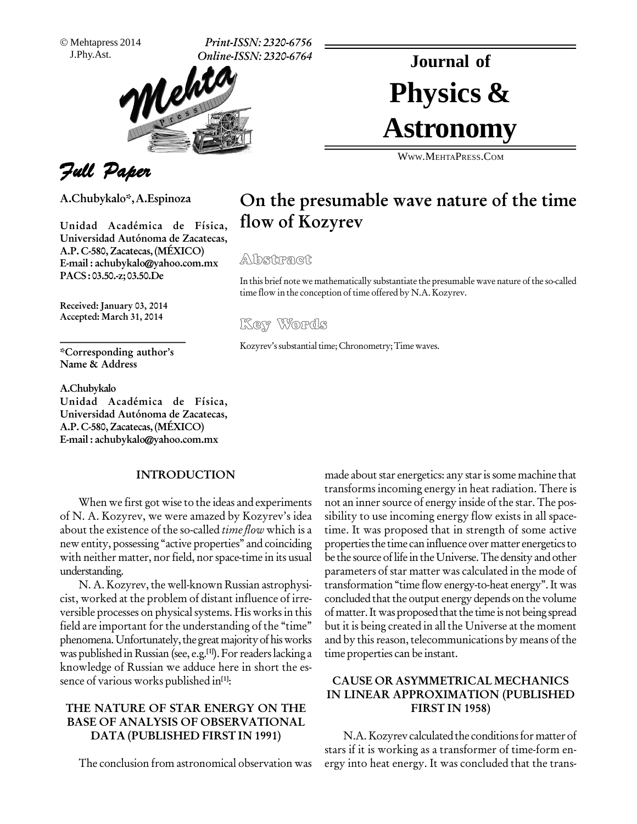Mehtapress 2014

J.Phy.Ast. **Print-ISSN: 2320-6756 Online-ISSN: 2320-6764**



# Physics & **Journal of Astronomy**

WWW.M[EHTA](http://WWW.MEHTAPRESS.COM)PRESS.COM

# Full Paper

**A.Chubykalo\*,A.Espinoza**

**Unidad AcadÈmica de FÌsica, Universidad** Autónoma de Zacatecas, **A.P. C-580, Zacatecas,(M…XICO) E-mail : [achubykalo@yahoo.com.mx](mailto:achubykalo@yahoo.com.mx) PACS: 03.50.-z;03.50.De**

**Received: January 03, 2014 Accepted: March 31, 2014**

**\*Corresponding authorís Name & Address**

#### **A.Chubykalo**

**Unidad AcadÈmica de FÌsica, Universidad** Autónoma de Zacatecas, **A.P. C-580, Zacatecas,(M…XICO) E-mail : [achubykalo@yahoo.com.mx](mailto:achubykalo@yahoo.com.mx)**

#### **INTRODUCTION**

When we first got wise to the ideas and experiments of N. A. Kozyrev, we were amazed by Kozyrev's idea about the existence of the so-called *time flow* which is a new entity, possessing "active properties" and coinciding with neither matter, nor field, nor space-time in its usual understanding.

N. A. Kozyrev, the well-known Russian astrophysicist, worked at the problem of distant influence of irre versible processes on physical systems. His works in this field are important for the understanding of the "time" phenomena. Unfortunately, the great majority of his works was published in Russian (see, e.g.<sup>[1]</sup>). For readers lacking a time knowledge of Russian we adduce here in short the es sence of various works published in **[1]**:

# **THE NATURE OF STAR ENERGY ON THE BASE OF ANALYSIS OF OBSERVATIONAL DATA (PUBLISHED FIRST IN 1991)**

The conclusion from astronomical observation was

made about star energetics: any star is some machine that transforms incoming energy in heat radiation. There is not an inner source of energy inside of the star. The possibility to use incoming energy flow exists in all space time. It was proposed that in strength of some active properties the time can influence over matter energetics to be the source of life in the Universe. The density and other parameters of star matter was calculated in the mode of transformation "time flow energy-to-heat energy". It was concluded that the output energy depends on the volume of matter. It was proposed that the time is not being spread but it is being created in all the Universe at the moment and by this reason, telecommunications by means of the time properties can be instant.

# **CAUSE OR ASYMMETRICAL MECHANICS IN LINEAR APPROXIMATION (PUBLISHED FIRST IN 1958)**

N.A. Kozyrev calculated the conditions for matter of stars if it is working as a transformer of time-form en ergy into heat energy. It was concluded that the trans-

**On the presumable wave nature of the time**

 $\mathbb A$ lbsitra@it

**flow of Kozyrev**

In this brief notewe mathematically substantiate the presumable wave nature of the so-called time flow in the conception of time offered by N.A. Kozyrev. MACT<br>of note we mathematically su<br>in the conception of time off<br>Wore of S

Kozyrev's substantial time; Chronometry; Time waves.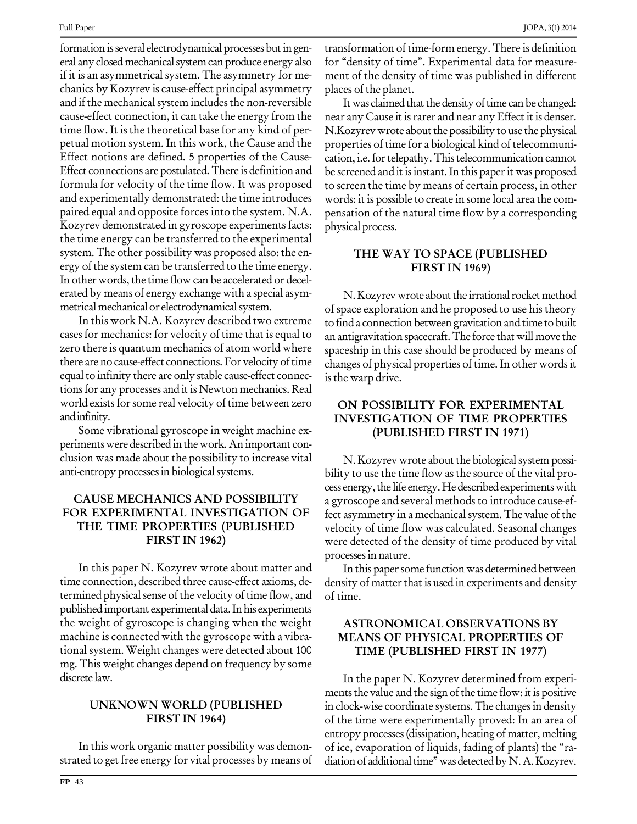formation is several electrodynamical processes but in general any closed mechanical system can produce energy also if it is an asymmetrical system. The asymmetry for me chanics by Kozyrev is cause-effect principal asymmetry and if the mechanical system includes the non-reversible cause-effect connection, it can take the energy from the time flow. It is the theoretical base for any kind of per petual motion system. In this work, the Cause and the Effect notions are defined. 5 properties of the Cause- Effect connections are postulated.There is definition and formula for velocity of the time flow. It was proposed and experimentally demonstrated: the time introduces paired equal and opposite forces into the system. N.A. Kozyrev demonstrated in gyroscope experiments facts: the time energy can be transferred to the experimental system. The other possibility was proposed also: the en ergy of the system can be transferred to the time energy. In other words, the time flow can be accelerated or decelerated by means of energy exchange with a special asym metrical mechanical or electrodynamical system.

In this work N.A. Kozyrev described two extreme cases for mechanics: for velocity of time that is equal to zero there is quantum mechanics of atom world where there are no cause-effect connections. For velocity of time equal to infinity there are only stable cause-effect connections for any processes and it is Newton mechanics. Real world exists for some real velocity of time between zero andinfinity.

Some vibrational gyroscope in weight machine ex perimentswere described inthework.An important con clusion was made about the possibility to increase vital anti-entropy processes in biological systems.

# **CAUSE MECHANICS AND POSSIBILITY FOR EXPERIMENTAL INVESTIGATION OF THE TIME PROPERTIES (PUBLISHED FIRST IN 1962)**

In this paper N. Kozyrev wrote about matter and time connection, described three cause-effect axioms, de termined physical sense of the velocity of time flow, and published important experimental data. In his experiments the weight of gyroscope is changing when the weight machine is connected with the gyroscope with a vibra tional system. Weight changes were detected about 100 mg. This weight changes depend on frequency by some discrete law.

#### **UNKNOWN WORLD (PUBLISHED FIRST IN 1964)**

In this work organic matter possibility was demon strated to get free energy for vital processes by means of transformation of time-form energy. There is definition for "density of time". Experimental data for measurement of the density of time was published in different places of the planet.

It was claimed that the density of time can be changed: near any Cause it is rarer and near any Effect it is denser. N.Kozyrev wrote about the possibility to use the physical properties of time for a biological kind of telecommuni cation, i.e. for telepathy. This telecommunication cannot be screened and it is instant. In this paper it was proposed to screen the time by means of certain process, in other words: it is possible to create in some local area the com pensation of the natural time flow by a corresponding physical process.

# **THE WAY TO SPACE (PUBLISHED FIRST IN 1969)**

N. Kozyrev wrote about the irrational rocket method of space exploration and he proposed to use his theory to find a connection between gravitation and time to built an antigravitation spacecraft. The force that will move the spaceship in this case should be produced by means of changes of physical properties of time. In other wordsit isthe warp drive.

# **ON POSSIBILITY FOR EXPERIMENTAL INVESTIGATION OF TIME PROPERTIES (PUBLISHED FIRST IN 1971)**

N. Kozyrev wrote about the biological system possibility to use the time flow as the source of the vital process energy, the life energy. He described experiments with a gyroscope and several methods to introduce cause-ef fect asymmetry in a mechanical system. The value of the velocity of time flow was calculated. Seasonal changes were detected of the density of time produced by vital processes in nature.

In this paper some function was determined between density of matter that is used in experiments and density of time.

# **ASTRONOMICAL OBSERVATIONS BY MEANS OF PHYSICAL PROPERTIES OF TIME (PUBLISHED FIRST IN 1977)**

In the paper N. Kozyrev determined from experi ments the value and the sign of the time flow: it is positive in clock-wise coordinate systems. The changes in density of the time were experimentally proved: In an area of entropy processes(dissipation, heating of matter, melting of ice, evaporation of liquids, fading of plants) the "radiation of additional time" was detected by N. A. Kozyrev.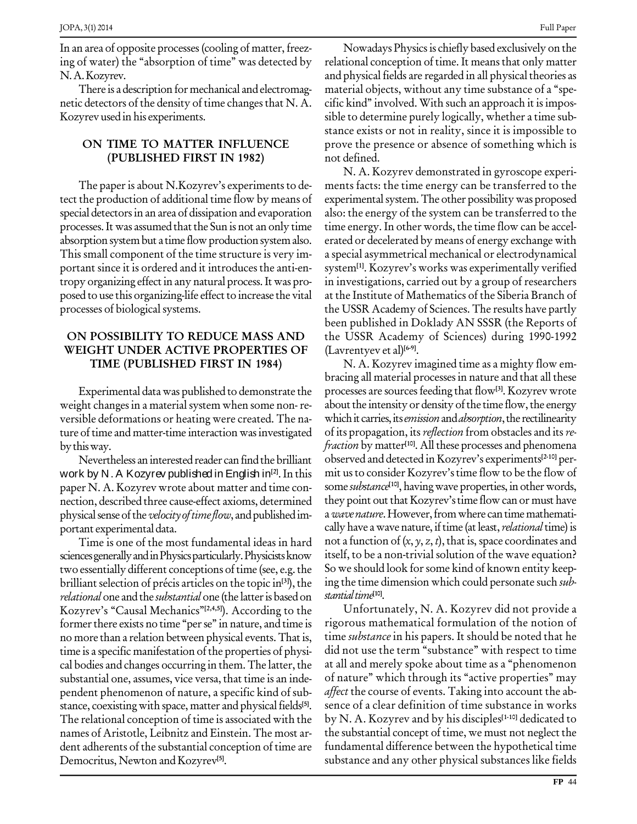In an area of opposite processes(cooling of matter, freez ing of water) the "absorption of time" was detected by N.A.Kozyrev.

There is a description for mechanical and electromag netic detectors of the density of time changes that N. A. Kozyrev used in his experiments.

## **ON TIME TO MATTER INFLUENCE (PUBLISHED FIRST IN 1982)**

The paper is about N.Kozyrev's experiments to detect the production of additional time flow by means of special detectors in an area of dissipation and evaporation processes.It was assumed thatthe Sun is not an only time absorption system but a time flow production system also. This small component of the time structure is very im portant since it is ordered and it introduces the anti-en tropy organizing effectin any natural process.It was pro posed to use this organizing-life effect to increase the vital processes of biological systems.

## **ON POSSIBILITY TO REDUCE MASS AND WEIGHT UNDER ACTIVE PROPERTIES OF TIME (PUBLISHED FIRST IN 1984)**

Experimental data was published to demonstrate the weight changes in a material system when some non-reversible deformations or heating were created. The na ture of time and matter-time interaction was investigated bythisway.

Nevertheless an interested reader can find the brilliant work by N. A Kozyrev published in English in **[2]**.In this paper N. A. Kozyrev wrote about matter and time con nection, described three cause-effect axioms, determined physical sense of the *velocity of time flow*, and published important experimental data.

Time is one of the most fundamental ideas in hard sciences generally and in Physics particularly. Physicists know two essentially different conceptions of time (see, e.g. the brilliant selection of précis articles on the topic in<sup>[3]</sup>), the ing tl relational one and the substantial one (the latter is based on Kozyrev's "Causal Mechanics"<sup>[2,4,5]</sup>). According to the <sup>l</sup> former there exists no time "per se" in nature, and time is no more than a relation between physical events.That is, time is a specific manifestation of the properties of physical bodies and changes occurring in them. The latter, the substantial one, assumes, vice versa, that time is an inde-pendent phenomenon of nature, <sup>a</sup> specific kind of sub stance, coexisting with space, matter and physical fields<sup>[5]</sup>. se The relational conception of time is associated with the names of Aristotle, Leibnitz and Einstein. The most ar dent adherents of the substantial conception of time are Democritus, Newton and Kozyrev **[5]**.

Nowadays Physics is chiefly based exclusively on the relational conception of time. It meansthat only matter and physical fields are regarded in all physical theories as material objects, without any time substance of a "specific kind" involved. With such an approach it is impossible to determine purely logically, whether a time sub stance exists or not in reality, since it is impossible to prove the presence or absence of something which is not defined.

N. A. Kozyrev demonstrated in gyroscope experi ments facts: the time energy can be transferred to the experimental system. The other possibility was proposed also: the energy of the system can be transferred to the time energy. In other words, the time flow can be accel erated or decelerated by means of energy exchange with a special asymmetrical mechanical or electrodynamical system<sup>[1]</sup>. Kozyrev's works was experimentally verified in investigations, carried out by a group of researchers at the Institute of Mathematics of the Siberia Branch of the USSR Academy of Sciences. The results have partly been published in Doklady AN SSSR (the Reports of the USSR Academy of Sciences) during 1990-1992 (Lavrentyev et al) **[6-9]**.

N. A. Kozyrev imagined time as a mighty flow em bracing all material processesin nature and that all these processes are sourcesfeeding that flow**[3]**. Kozyrev wrote about the intensity or density of the time flow, the energy which it carries, its emission and absorption, the rectilinearity of its propagation, its reflection from obstacles and its re*fraction* by matter<sup>[10]</sup>. All these processes and phenomena observed and detected in Kozyrev's experiments<sup>[2-10]</sup> permit us to consider Kozyrev's time flow to be the flow of some substance<sup>[10]</sup>, having wave properties, in other words, they point out that Kozyrev's time flow can or must have a wave nature. However, from where can time mathematically have a wave nature, if time (at least, *relational* time) is not a function of  $(x, y, z, t)$ , that is, space coordinates and itself, to be a non-trivial solution of the wave equation? So we should look forsome kind of known entity keep ing the time dimension which could personate such subst*antial time*<sup>[10]</sup>.

Unfortunately, N. A. Kozyrev did not provide a rigorous mathematical formulation of the notion of time *substance* in his papers. It should be noted that he did not use the term "substance" with respect to time at all and merely spoke about time as a "phenomenon of nature" which through its "active properties" may affect the course of events. Taking into account the absence of a clear definition of time substance in works by N. A. Kozyrev and by hisdisciples **[1-10]** dedicated to the substantial concept of time, we must not neglect the fundamental difference between the hypothetical time substance and any other physical substances like fields

Full Paper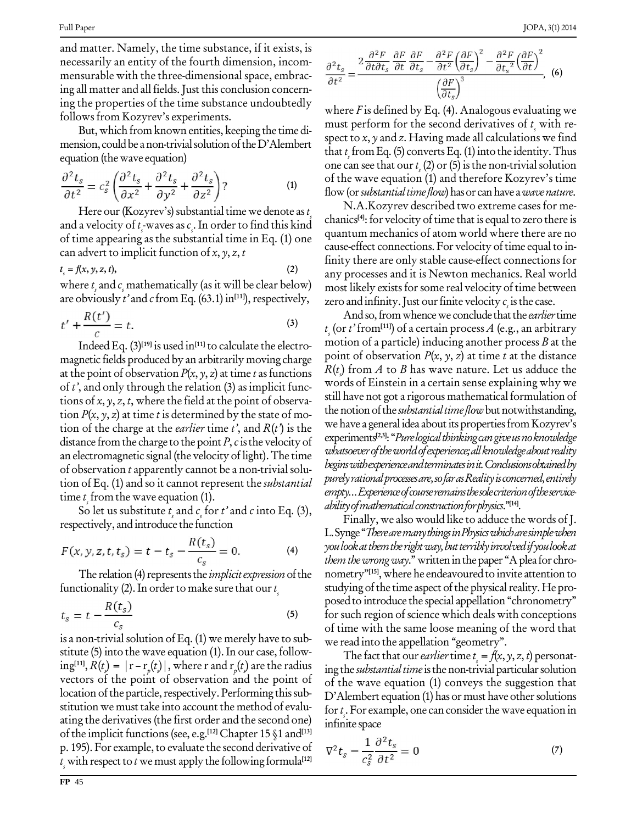and matter. Namely, the time substance, if it exists, is necessarily an entity of the fourth dimension, incom mensurable with the three-dimensional space, embrac ing all matter and all fields. Just this conclusion concerning the properties of the time substance undoubtedly follows from Kozyrev's experiments.

But, which from known entities, keeping the time di mension, could be a non-trivial solution of the D'Alembert equation (the wave equation)

$$
\frac{\partial^2 t_s}{\partial t^2} = c_s^2 \left( \frac{\partial^2 t_s}{\partial x^2} + \frac{\partial^2 t_s}{\partial y^2} + \frac{\partial^2 t_s}{\partial z^2} \right)?
$$
 (1)

Here our (Kozyrev's) substantial time we denote as  $t_i$ s and a velocity of  $t_s$ -waves as  $c_s$ . In order to find this kind of time appearing as the substantial time in Eq. (1) one can advert to implicit function of  $x, y, z, t$ 

$$
t_s = f(x, y, z, t), \tag{2}
$$

where  $t_{\scriptscriptstyle \varsigma}$  and  $c_{\scriptscriptstyle \varsigma}$  mathematically (as it will be clear below)  $\hskip 1.6cm$  mo are obviously *t*' and *c* from Eq. (63.1) in<sup>[11]</sup>), respectively,  $Z_{Z}$ 

$$
t' + \frac{R(t')}{c} = t.
$$
\n(3)

Indeed Eq. (3) **[19]** is used in **[11]** to calculate the electro magnetic fields produced by an arbitrarily moving charge at the point of observation  $P(x, y, z)$  at time t as functions of  $t'$ , and only through the relation (3) as implicit functions of  $x, y, z, t$ , where the field at the point of observation  $P(x, y, z)$  at time t is determined by the state of motion of the charge at the *earlier* time t', and  $R(t)$  is the distance from the charge to the point  $P$ ,  $c$  is the velocity of an electromagnetic signal (the velocity of light).The time of observation  $t$  apparently cannot be a non-trivial solution of Eq. (1) and so it cannot represent the *substantial* time  $t<sub>i</sub>$  from the wave equation (1).

time  $t_s$  from the wave equation (1).<br>So let us substitute  $t_s$  and  $c_s$  for  $t^3$  and  $c$  into Eq. (3), and respectively, and introduce the function

$$
F(x, y, z, t, t_s) = t - t_s - \frac{R(t_s)}{c_s} = 0.
$$
 (4)

The relation (4) represents the *implicit expression* of the functionality (2). In order to make sure that our  $t_{\tiny \varepsilon}$ 

$$
t_s = t - \frac{R(t_s)}{c_s} \tag{5}
$$

is a non-trivial solution of Eq.  $(1)$  we merely have to substitute (5) into the wave equation (1). In our case, follow-  $\lim_{\varepsilon \to 0} R(t) = |r - r_{\varepsilon}(t)|$ , where r and  $r_{\varepsilon}(t)$  are the radius  $\lim_{\varepsilon \to 0} R(t)$ vectors of the point of observation and the point of location of the particle, respectively. Performing this substitution we must take into account the method of evaluating the derivatives(the first order and the second one) ating the derivatives (the first order and the second one) infin<br>of the implicit functions (see, e.g.<sup>[12]</sup> Chapter 15 §1 and<sup>[13]</sup> p. 195). For example, to evaluate the second derivative of  $\bar{y}$  $t_{\scriptscriptstyle \varsigma}$  with respect to  $t$  we must apply the following formula<sup>[12]</sup>

$$
\frac{\partial^2 t_s}{\partial t^2} = \frac{2 \frac{\partial^2 F}{\partial t \partial t_s} \frac{\partial F}{\partial t} \frac{\partial F}{\partial t_s} - \frac{\partial^2 F}{\partial t^2} \left(\frac{\partial F}{\partial t_s}\right)^2 - \frac{\partial^2 F}{\partial t_s^2} \left(\frac{\partial F}{\partial t}\right)^2}{\left(\frac{\partial F}{\partial t_s}\right)^3}, \quad (6)
$$

where  $F$  is defined by Eq. (4). Analogous evaluating we must perform for the second derivatives of  $t<sub>i</sub>$  with respect to  $x$ ,  $y$  and  $z$ . Having made all calculations we find that  $t_{\rm s}$  from Eq. (5) converts Eq. (1) into the identity. Thus one can see that our  $t_{\text{s}}(2)$  or (5) is the non-trivial solution of the wave equation (1) and therefore Kozyrev's time flow (or *substantial time flow*) has or can have a *wave nature*.

N.A.Kozyrev described two extreme cases for me chanics<sup>[4]</sup>: for velocity of time that is equal to zero there is quantum mechanics of atom world where there are no cause-effect connections. For velocity of time equal to infinity there are only stable cause-effect connections for any processes and it is Newton mechanics. Real world most likely exists for some real velocity of time between zero and infinity. Just our finite velocity  $c_i$  is the case.

And so, from whence we conclude that the earlier time t<sub>s</sub> (or t'from<sup>[11]</sup>) of a certain process A (e.g., an arbitrary motion of a particle) inducing another process  $B$  at the point of observation  $P(x, y, z)$  at time t at the distance  $R(t)$  from  $A$  to  $B$  has wave nature. Let us adduce the words of Einstein in a certain sense explaining why we still have not got a rigorous mathematical formulation of the notion of the *substantial time flow* but not withstanding, we have a general idea about its properties from Kozyrev's experiments<sup>[2,3]</sup>: "*Pure logical thinking can give us no knowledge* whatsoever of the world of experience; all knowledge about reality beginswithexperienceandterminatesinit.Conclusionsobtainedby purelyrationalprocessesare,sofarasRealityisconcerned,entirely empty... Experience of course remains the sole criterion of the serviceability of mathematical construction for physics."<sup>[14]</sup>.

Finally, we also would like to adduce the words ofJ. L. Synge "There are many things in Physics which are simple when you look at them the right way, but terribly involved if you look at them the wrong way." written in the paper "A plea for chronometry"<sup>[15]</sup>, where he endeavoured to invite attention to studying of the time aspect of the physical reality. He proposed to introduce the special appellation "chronometry" for such region of science which deals with conceptions of time with the same loose meaning of the word that we read into the appellation "geometry".

The fact that our *earlier* time  $t = f(x, y, z, t)$  personating the *substantial time* is the non-trivial particular solution of the wave equation (1) conveys the suggestion that  $D'$ Alembert equation (1) has or must have other solutions for  $t$ . For example, one can consider the wave equation in infinite space

$$
\nabla^2 t_s - \frac{1}{c_s^2} \frac{\partial^2 t_s}{\partial t^2} = 0 \tag{7}
$$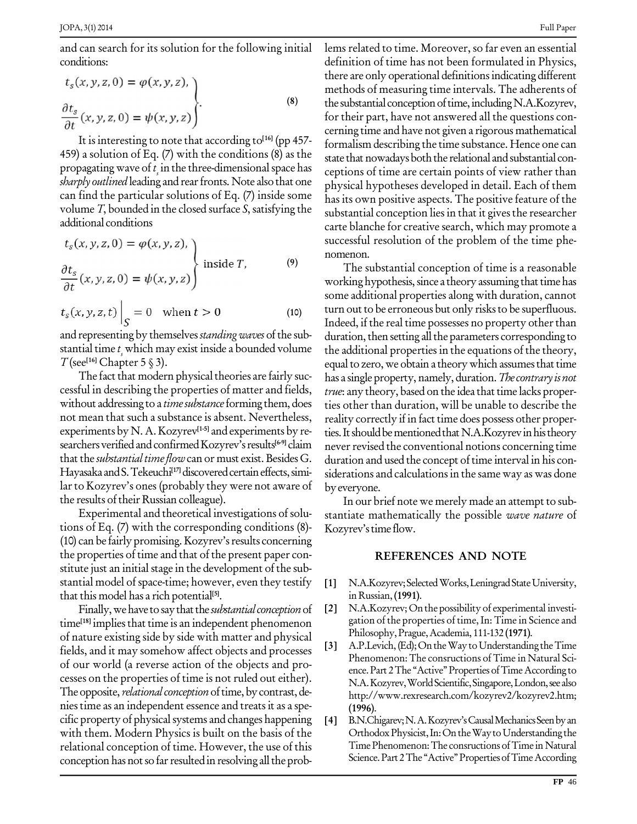and can search for its solution for the following initial conditions:

$$
t_s(x, y, z, 0) = \varphi(x, y, z),
$$
  
\n
$$
\frac{\partial t_s}{\partial t}(x, y, z, 0) = \psi(x, y, z)
$$
 (8)

It is interesting to note that according to **[16]** (pp 457- 459) a solution of Eq. (7) with the conditions (8) as the propagating wave of  $t_{\scriptscriptstyle\rm S}$  in the three-dimensional space has  $\hskip 10pt_{\rm cep}$ sharply outlined leading and rear fronts. Note also that one can find the particular solutions of Eq. (7) inside some volume  $T$ , bounded in the closed surface  $S$ , satisfying the additional conditions

$$
t_s(x, y, z, 0) = \varphi(x, y, z),
$$
  
\n
$$
\frac{\partial t_s}{\partial t}(x, y, z, 0) = \psi(x, y, z)
$$
 inside *T*, (9)

$$
t_s(x, y, z, t) \Big|_S = 0 \quad \text{when } t > 0 \tag{10}
$$

and representing by themselves *standing waves* of the substantial time  $t_s$  which may exist inside a bounded volume the a<br>  $T$ (see<sup>[16]</sup> Chapter 5 § 3).  $T$  (see<sup>[16]</sup> Chapter 5  $\S$  3).

The fact that modern physical theories are fairly successful in describing the properties of matter and fields, without addressing to a *time substance* forming them, does not mean that such a substance is absent. Nevertheless, experiments by N. A. Kozyrev<sup>[1-5]</sup> and experiments by researchers verified and confirmed Kozyrev's results<sup>[6-9]</sup> claim that the *substantial time flow* can or must exist. Besides G. Hayasaka and S. Tekeuchi<sup>[17]</sup> discovered certain effects, simi- siq lar to Kozyrev's ones (probably they were not aware of the results of their Russian colleague).

Experimental and theoretical investigations of solu tions of Eq. (7) with the corresponding conditions (8)- (10) can be fairly promising. Kozyrev's results concerning the properties of time and that of the present paper con stitute just an initial stage in the development of the substantial model of space-time; however, even they testify that this model has a rich potential **[5]**.

Finally, we have to say that the *substantial conception* of [2] time **[18]** impliesthat time is an independent phenomenon of nature existing side by side with matter and physical<br>fields, and it may somehow affect objects and processes fields, and it may somehow affect objects and processes of our world (a reverse action of the objects and pro cesses on the properties of time is not ruled out either). The opposite, *relational conception* of time, by contrast, deniestime as an independent essence and treatsit as a spe cific property of physical systems and changes happening [4] with them. Modern Physics is built on the basis of the relational conception of time. However, the use of this conception has not so far resulted in resolving all the prob-

lems related to time. Moreover, so far even an essential definition of time has not been formulated in Physics, there are only operational definitionsindicating different methods of measuring time intervals. The adherents of the substantial conception of time, including N.A.Kozyrev, for their part, have not answered all the questions con cerning time and have not given a rigorous mathematical formalism describing the time substance. Hence one can state that nowadays both the relational and substantial conceptions of time are certain points of view rather than physical hypotheses developed in detail. Each of them has its own positive aspects. The positive feature of the substantial conception lies in that it gives the researcher carte blanche for creative search, which may promote a successful resolution of the problem of the time phe nomenon.

**[6-9]** claim neverrevised the conventional notions concerning time The substantial conception of time is a reasonable working hypothesis, since a theory assuming that time has some additional properties along with duration, cannot turn out to be erroneous but only risks to be superfluous. Indeed, if the real time possesses no property other than duration, then setting all the parameters corresponding to the additional properties in the equations of the theory, equal to zero, we obtain a theory which assumes that time has a single property, namely, duration. The contrary is not *true*: any theory, based on the idea that time lacks properties other than duration, will be unable to describe the reality correctly if in fact time does possess other properties. It should be mentioned that N.A.Kozyrev in his theory duration and used the concept of time interval in his considerations and calculations in the same way as was done byeveryone.

> In our brief note we merely made an attempt to sub stantiate mathematically the possible wave nature of Kozyrev's time flow.

#### **REFERENCES AND NOTE**

- **[1]** N.A.Kozyrev;SelectedWorks,LeningradStateUniversity, in Russian,**(1991)**.
- N.A.Kozyrev; On the possibility of experimental investigation of the properties of time, In: Time in Science and Philosophy,Prague,Academia, 111-132 **(1971)**.
- A.P.Levich, (Ed); On the Way to Understanding the Time Phenomenon: The consructions of Time in Natural Science. Part 2 The "Active" Properties of Time According to N.A.Kozyrev,WorldScientific,Singapore,London,see also <http://www.rexresearch.com/kozyrev2/kozyrev2.htm;> **(1996)**.
- B.N.Chigarev; N.A.Kozyrev's Causal Mechanics Seen by an Orthodox Physicist, In: On the Way to Understanding the Time Phenomenon: The consructions of Time in Natural Science. Part 2 The "Active" Properties of Time According